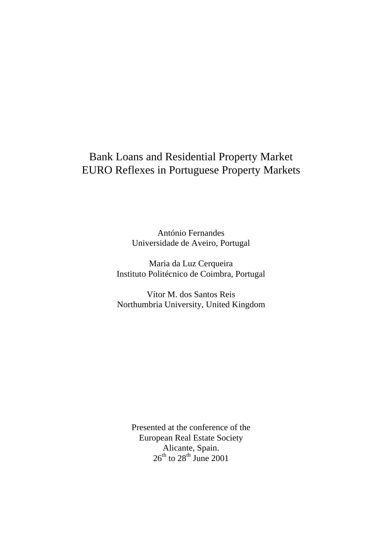# Bank Loans and Residential Property Market EURO Reflexes in Portuguese Property Markets

António Fernandes Universidade de Aveiro, Portugal

Maria da Luz Cerqueira Instituto Politécnico de Coimbra, Portugal

Vítor M. dos Santos Reis Northumbria University, United Kingdom

Presented at the conference of the European Real Estate Society Alicante, Spain.  $26^{\text{th}}$  to  $28^{\text{th}}$  June 2001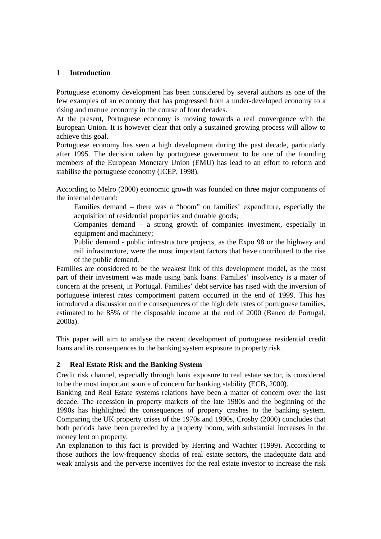#### **1 Introduction**

Portuguese economy development has been considered by several authors as one of the few examples of an economy that has progressed from a under-developed economy to a rising and mature economy in the course of four decades.

At the present, Portuguese economy is moving towards a real convergence with the European Union. It is however clear that only a sustained growing process will allow to achieve this goal.

Portuguese economy has seen a high development during the past decade, particularly after 1995. The decision taken by portuguese government to be one of the founding members of the European Monetary Union (EMU) has lead to an effort to reform and stabilise the portuguese economy (ICEP, 1998).

According to Melro (2000) economic growth was founded on three major components of the internal demand:

Families demand – there was a "boom" on families' expenditure, especially the acquisition of residential properties and durable goods;

Companies demand – a strong growth of companies investment, especially in equipment and machinery;

Public demand - public infrastructure projects, as the Expo 98 or the highway and rail infrastructure, were the most important factors that have contributed to the rise of the public demand.

Families are considered to be the weakest link of this development model, as the most part of their investment was made using bank loans. Families' insolvency is a mater of concern at the present, in Portugal. Families' debt service has rised with the inversion of portuguese interest rates comportment pattern occurred in the end of 1999. This has introduced a discussion on the consequences of the high debt rates of portuguese families, estimated to be 85% of the disposable income at the end of 2000 (Banco de Portugal, 2000a).

This paper will aim to analyse the recent development of portuguese residential credit loans and its consequences to the banking system exposure to property risk.

## **2 Real Estate Risk and the Banking System**

Credit risk channel, especially through bank exposure to real estate sector, is considered to be the most important source of concern for banking stability (ECB, 2000).

Banking and Real Estate systems relations have been a matter of concern over the last decade. The recession in property markets of the late 1980s and the beginning of the 1990s has highlighted the consequences of property crashes to the banking system. Comparing the UK property crises of the 1970s and 1990s, Crosby (2000) concludes that both periods have been preceded by a property boom, with substantial increases in the money lent on property.

An explanation to this fact is provided by Herring and Wachter (1999). According to those authors the low-frequency shocks of real estate sectors, the inadequate data and weak analysis and the perverse incentives for the real estate investor to increase the risk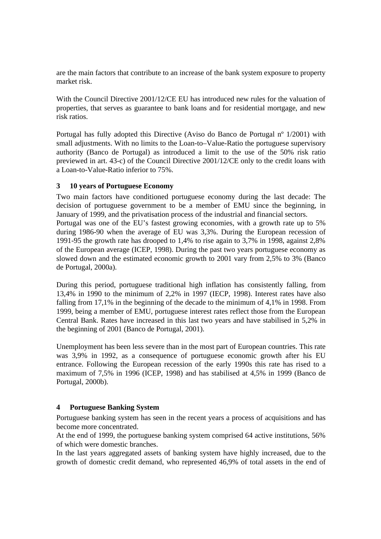are the main factors that contribute to an increase of the bank system exposure to property market risk.

With the Council Directive 2001/12/CE EU has introduced new rules for the valuation of properties, that serves as guarantee to bank loans and for residential mortgage, and new risk ratios.

Portugal has fully adopted this Directive (Aviso do Banco de Portugal nº 1/2001) with small adjustments. With no limits to the Loan-to–Value-Ratio the portuguese supervisory authority (Banco de Portugal) as introduced a limit to the use of the 50% risk ratio previewed in art. 43-c) of the Council Directive 2001/12/CE only to the credit loans with a Loan-to-Value-Ratio inferior to 75%.

# **3 10 years of Portuguese Economy**

Two main factors have conditioned portuguese economy during the last decade: The decision of portuguese government to be a member of EMU since the beginning, in January of 1999, and the privatisation process of the industrial and financial sectors. Portugal was one of the EU's fastest growing economies, with a growth rate up to 5% during 1986-90 when the average of EU was 3,3%. During the European recession of 1991-95 the growth rate has drooped to 1,4% to rise again to 3,7% in 1998, against 2,8% of the European average (ICEP, 1998). During the past two years portuguese economy as slowed down and the estimated economic growth to 2001 vary from 2,5% to 3% (Banco de Portugal, 2000a).

During this period, portuguese traditional high inflation has consistently falling, from 13,4% in 1990 to the minimum of 2,2% in 1997 (IECP, 1998). Interest rates have also falling from 17,1% in the beginning of the decade to the minimum of 4,1% in 1998. From 1999, being a member of EMU, portuguese interest rates reflect those from the European Central Bank. Rates have increased in this last two years and have stabilised in 5,2% in the beginning of 2001 (Banco de Portugal, 2001).

Unemployment has been less severe than in the most part of European countries. This rate was 3,9% in 1992, as a consequence of portuguese economic growth after his EU entrance. Following the European recession of the early 1990s this rate has rised to a maximum of 7,5% in 1996 (ICEP, 1998) and has stabilised at 4,5% in 1999 (Banco de Portugal, 2000b).

## **4 Portuguese Banking System**

Portuguese banking system has seen in the recent years a process of acquisitions and has become more concentrated.

At the end of 1999, the portuguese banking system comprised 64 active institutions, 56% of which were domestic branches.

In the last years aggregated assets of banking system have highly increased, due to the growth of domestic credit demand, who represented 46,9% of total assets in the end of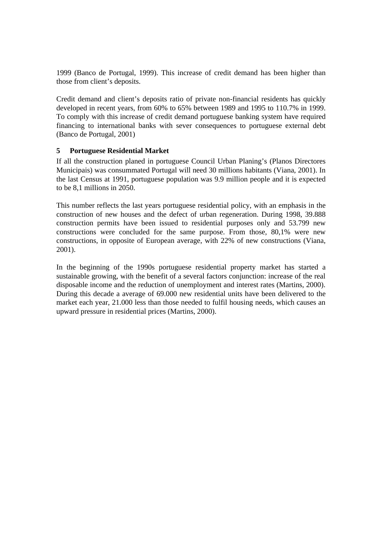1999 (Banco de Portugal, 1999). This increase of credit demand has been higher than those from client's deposits.

Credit demand and client's deposits ratio of private non-financial residents has quickly developed in recent years, from 60% to 65% between 1989 and 1995 to 110.7% in 1999. To comply with this increase of credit demand portuguese banking system have required financing to international banks with sever consequences to portuguese external debt (Banco de Portugal, 2001)

# **5 Portuguese Residential Market**

If all the construction planed in portuguese Council Urban Planing's (Planos Directores Municipais) was consummated Portugal will need 30 millions habitants (Viana, 2001). In the last Census at 1991, portuguese population was 9.9 million people and it is expected to be 8,1 millions in 2050.

This number reflects the last years portuguese residential policy, with an emphasis in the construction of new houses and the defect of urban regeneration. During 1998, 39.888 construction permits have been issued to residential purposes only and 53.799 new constructions were concluded for the same purpose. From those, 80,1% were new constructions, in opposite of European average, with 22% of new constructions (Viana, 2001).

In the beginning of the 1990s portuguese residential property market has started a sustainable growing, with the benefit of a several factors conjunction: increase of the real disposable income and the reduction of unemployment and interest rates (Martins, 2000). During this decade a average of 69.000 new residential units have been delivered to the market each year, 21.000 less than those needed to fulfil housing needs, which causes an upward pressure in residential prices (Martins, 2000).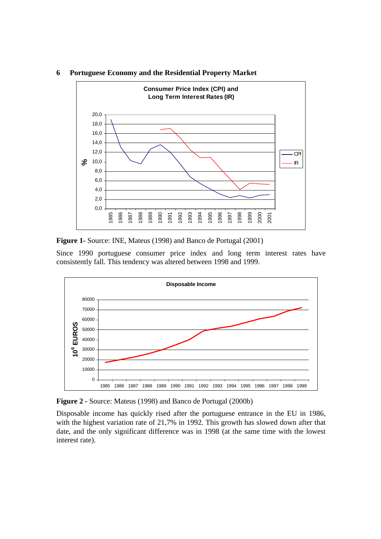



**Figure 1-** Source: INE, Mateus (1998) and Banco de Portugal (2001)

Since 1990 portuguese consumer price index and long term interest rates have consistently fall. This tendency was altered between 1998 and 1999.



**Figure 2 -** Source: Mateus (1998) and Banco de Portugal (2000b)

Disposable income has quickly rised after the portuguese entrance in the EU in 1986, with the highest variation rate of 21,7% in 1992. This growth has slowed down after that date, and the only significant difference was in 1998 (at the same time with the lowest interest rate).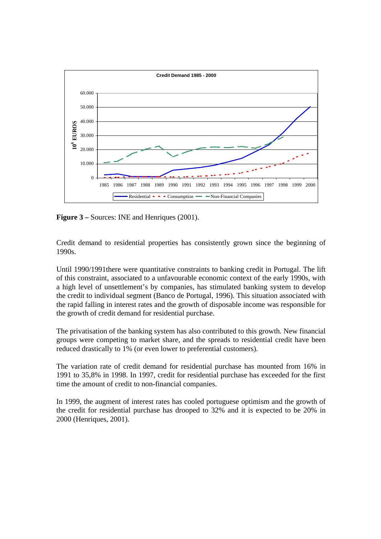

**Figure 3** – Sources: INE and Henriques (2001).

Credit demand to residential properties has consistently grown since the beginning of 1990s.

Until 1990/1991there were quantitative constraints to banking credit in Portugal. The lift of this constraint, associated to a unfavourable economic context of the early 1990s, with a high level of unsettlement's by companies, has stimulated banking system to develop the credit to individual segment (Banco de Portugal, 1996). This situation associated with the rapid falling in interest rates and the growth of disposable income was responsible for the growth of credit demand for residential purchase.

The privatisation of the banking system has also contributed to this growth. New financial groups were competing to market share, and the spreads to residential credit have been reduced drastically to 1% (or even lower to preferential customers).

The variation rate of credit demand for residential purchase has mounted from 16% in 1991 to 35,8% in 1998. In 1997, credit for residential purchase has exceeded for the first time the amount of credit to non-financial companies.

In 1999, the augment of interest rates has cooled portuguese optimism and the growth of the credit for residential purchase has drooped to 32% and it is expected to be 20% in 2000 (Henriques, 2001).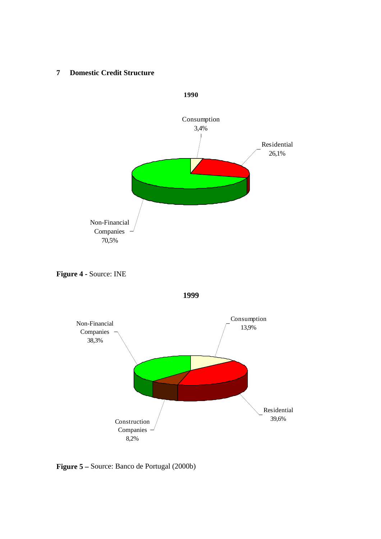#### **7 Domestic Credit Structure**



**Figure 4 -** Source: INE





**Figure 5 –** Source: Banco de Portugal (2000b)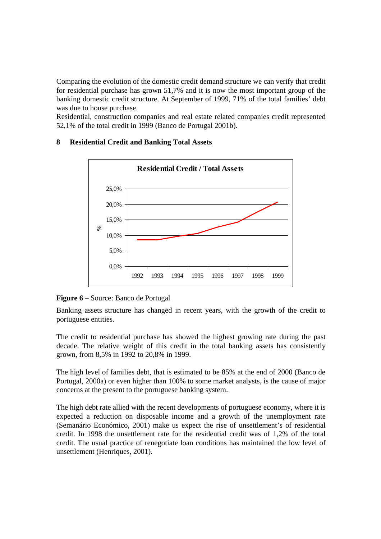Comparing the evolution of the domestic credit demand structure we can verify that credit for residential purchase has grown 51,7% and it is now the most important group of the banking domestic credit structure. At September of 1999, 71% of the total families' debt was due to house purchase.

Residential, construction companies and real estate related companies credit represented 52,1% of the total credit in 1999 (Banco de Portugal 2001b).



# **8 Residential Credit and Banking Total Assets**

**Figure 6 –** Source: Banco de Portugal

Banking assets structure has changed in recent years, with the growth of the credit to portuguese entities.

The credit to residential purchase has showed the highest growing rate during the past decade. The relative weight of this credit in the total banking assets has consistently grown, from 8,5% in 1992 to 20,8% in 1999.

The high level of families debt, that is estimated to be 85% at the end of 2000 (Banco de Portugal, 2000a) or even higher than 100% to some market analysts, is the cause of major concerns at the present to the portuguese banking system.

The high debt rate allied with the recent developments of portuguese economy, where it is expected a reduction on disposable income and a growth of the unemployment rate (Semanário Económico, 2001) make us expect the rise of unsettlement's of residential credit. In 1998 the unsettlement rate for the residential credit was of 1,2% of the total credit. The usual practice of renegotiate loan conditions has maintained the low level of unsettlement (Henriques, 2001).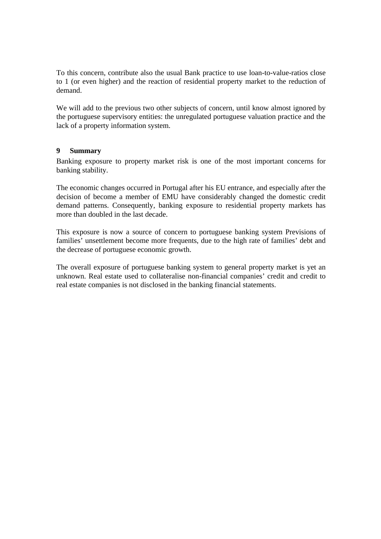To this concern, contribute also the usual Bank practice to use loan-to-value-ratios close to 1 (or even higher) and the reaction of residential property market to the reduction of demand.

We will add to the previous two other subjects of concern, until know almost ignored by the portuguese supervisory entities: the unregulated portuguese valuation practice and the lack of a property information system.

## **9 Summary**

Banking exposure to property market risk is one of the most important concerns for banking stability.

The economic changes occurred in Portugal after his EU entrance, and especially after the decision of become a member of EMU have considerably changed the domestic credit demand patterns. Consequently, banking exposure to residential property markets has more than doubled in the last decade.

This exposure is now a source of concern to portuguese banking system Previsions of families' unsettlement become more frequents, due to the high rate of families' debt and the decrease of portuguese economic growth.

The overall exposure of portuguese banking system to general property market is yet an unknown. Real estate used to collateralise non-financial companies' credit and credit to real estate companies is not disclosed in the banking financial statements.